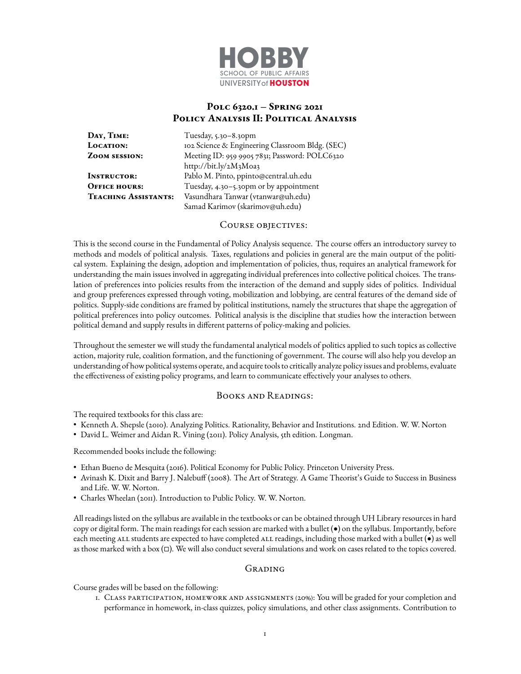

# **Polc 6320.1 – Spring 2021 Policy Analysis II: Political Analysis**

**Day, TIME:** Tuesday, 5.30–8.30pm<br> **LOCATION:** TO2 Science & Enginee **Location:** 102 Science & Engineering Classroom Bldg. (SEC) **Zoom session:** Meeting ID: 959 9905 7831; Password: POLC6320 <http://bit.ly/2M3M0a3> **Instructor:** Pablo M. Pinto, ppinto@central.uh.edu **OFFICE HOURS:** Tuesday, 4.30–5.30pm or by appointment **Teaching Assistants:** Vasundhara Tanwar (vtanwar@uh.edu) Samad Karimov (skarimov@uh.edu)

# Course objectives:

This is the second course in the Fundamental of Policy Analysis sequence. The course offers an introductory survey to methods and models of political analysis. Taxes, regulations and policies in general are the main output of the political system. Explaining the design, adoption and implementation of policies, thus, requires an analytical framework for understanding the main issues involved in aggregating individual preferences into collective political choices. The translation of preferences into policies results from the interaction of the demand and supply sides of politics. Individual and group preferences expressed through voting, mobilization and lobbying, are central features of the demand side of politics. Supply-side conditions are framed by political institutions, namely the structures that shape the aggregation of political preferences into policy outcomes. Political analysis is the discipline that studies how the interaction between political demand and supply results in different patterns of policy-making and policies.

Throughout the semester we will study the fundamental analytical models of politics applied to such topics as collective action, majority rule, coalition formation, and the functioning of government. The course will also help you develop an understanding of how political systems operate, and acquire tools to critically analyze policy issues and problems, evaluate the effectiveness of existing policy programs, and learn to communicate effectively your analyses to others.

### Books and Readings:

The required textbooks for this class are:

- Kenneth A. Shepsle (2010). Analyzing Politics. Rationality, Behavior and Institutions. 2nd Edition. W. W. Norton
- David L. Weimer and Aidan R. Vining (2011). Policy Analysis, 5th edition. Longman.

Recommended books include the following:

- Ethan Bueno de Mesquita (2016). Political Economy for Public Policy. Princeton University Press.
- Avinash K. Dixit and Barry J. Nalebuff (2008). The Art of Strategy. A Game Theorist's Guide to Success in Business and Life. W. W. Norton.
- Charles Wheelan (2011). Introduction to Public Policy. W. W. Norton.

All readings listed on the syllabus are available in the textbooks or can be obtained through UH Library resources in hard copy or digital form. The main readings for each session are marked with a bullet (•) on the syllabus. Importantly, before each meeting ALL students are expected to have completed ALL readings, including those marked with a bullet ( $\bullet$ ) as well as those marked with a box  $(\Box)$ . We will also conduct several simulations and work on cases related to the topics covered.

# GRADING

Course grades will be based on the following:

1. Class participation, homework and assignments (20%): You will be graded for your completion and performance in homework, in-class quizzes, policy simulations, and other class assignments. Contribution to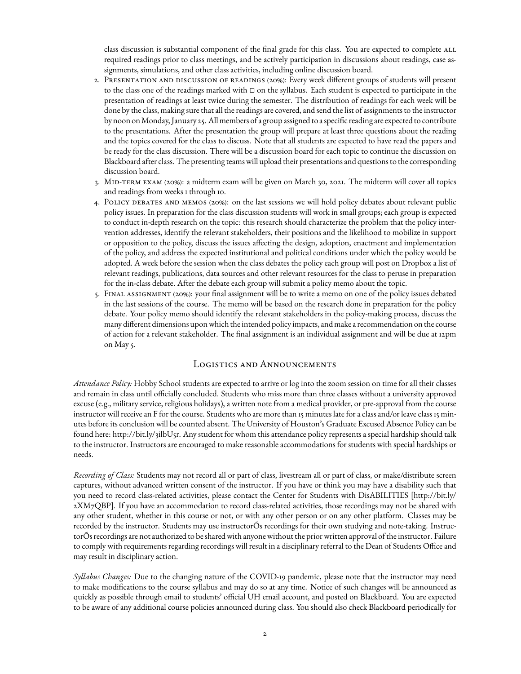class discussion is substantial component of the final grade for this class. You are expected to complete ALL required readings prior to class meetings, and be actively participation in discussions about readings, case assignments, simulations, and other class activities, including online discussion board.

- 2. PRESENTATION AND DISCUSSION OF READINGS (20%): Every week different groups of students will present to the class one of the readings marked with  $\Box$  on the syllabus. Each student is expected to participate in the presentation of readings at least twice during the semester. The distribution of readings for each week will be done by the class, making sure that all the readings are covered, and send the list of assignments to the instructor by noon on Monday, January 25. All members of a group assigned to a specific reading are expected to contribute to the presentations. After the presentation the group will prepare at least three questions about the reading and the topics covered for the class to discuss. Note that all students are expected to have read the papers and be ready for the class discussion. There will be a discussion board for each topic to continue the discussion on Blackboard after class. The presenting teams will upload their presentations and questions to the corresponding discussion board.
- 3. Mid-term exam (20%): a midterm exam will be given on March 30, 2021. The midterm will cover all topics and readings from weeks I through 10.
- 4. Policy debates and memos (20%): on the last sessions we will hold policy debates about relevant public policy issues. In preparation for the class discussion students will work in small groups; each group is expected to conduct in-depth research on the topic: this research should characterize the problem that the policy intervention addresses, identify the relevant stakeholders, their positions and the likelihood to mobilize in support or opposition to the policy, discuss the issues affecting the design, adoption, enactment and implementation of the policy, and address the expected institutional and political conditions under which the policy would be adopted. A week before the session when the class debates the policy each group will post on Dropbox a list of relevant readings, publications, data sources and other relevant resources for the class to peruse in preparation for the in-class debate. After the debate each group will submit a policy memo about the topic.
- 5. FINAL ASSIGNMENT (20%): your final assignment will be to write a memo on one of the policy issues debated in the last sessions of the course. The memo will be based on the research done in preparation for the policy debate. Your policy memo should identify the relevant stakeholders in the policy-making process, discuss the many different dimensions upon which the intended policy impacts, and make a recommendation on the course of action for a relevant stakeholder. The final assignment is an individual assignment and will be due at 12pm on May 5.

### Logistics and Announcements

*Attendance Policy:* Hobby School students are expected to arrive or log into the zoom session on time for all their classes and remain in class until officially concluded. Students who miss more than three classes without a university approved excuse (e.g., military service, religious holidays), a written note from a medical provider, or pre-approval from the course instructor will receive an F for the course. Students who are more than 15 minutes late for a class and/or leave class 15 minutes before its conclusion will be counted absent. The University of Houston's Graduate Excused Absence Policy can be found here: [http://bit.ly/3ilbU5r.](http://bit.ly/3ilbU5r) Any student for whom this attendance policy represents a special hardship should talk to the instructor. Instructors are encouraged to make reasonable accommodations for students with special hardships or needs.

*Recording of Class:* Students may not record all or part of class, livestream all or part of class, or make/distribute screen captures, without advanced written consent of the instructor. If you have or think you may have a disability such that you need to record class-related activities, please contact the Center for Students with DisABILITIES [\[http://bit.ly/](http://bit.ly/2XM7QBP) [2XM7QBP\]](http://bit.ly/2XM7QBP). If you have an accommodation to record class-related activities, those recordings may not be shared with any other student, whether in this course or not, or with any other person or on any other platform. Classes may be recorded by the instructor. Students may use instructorÕs recordings for their own studying and note-taking. InstructorÕs recordings are not authorized to be shared with anyone without the prior written approval of the instructor. Failure to comply with requirements regarding recordings will result in a disciplinary referral to the Dean of Students Office and may result in disciplinary action.

*Syllabus Changes:* Due to the changing nature of the COVID-19 pandemic, please note that the instructor may need to make modifications to the course syllabus and may do so at any time. Notice of such changes will be announced as quickly as possible through email to students' official UH email account, and posted on Blackboard. You are expected to be aware of any additional course policies announced during class. You should also check Blackboard periodically for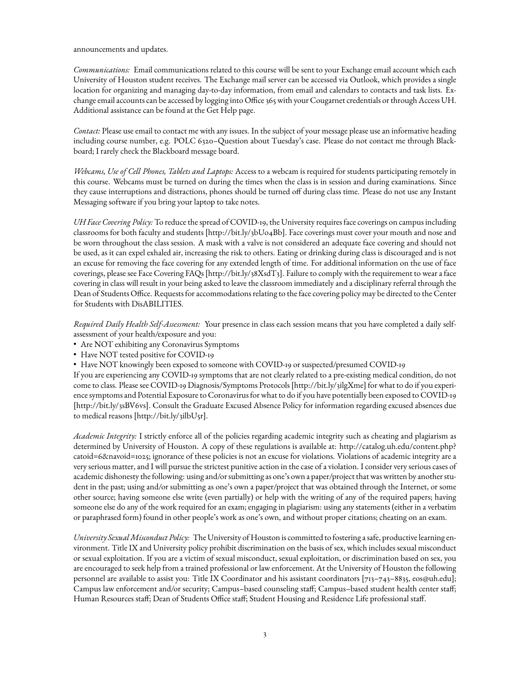#### announcements and updates.

*Communications:* Email communications related to this course will be sent to your Exchange email account which each University of Houston student receives. The Exchange mail server can be accessed via Outlook, which provides a single location for organizing and managing day-to-day information, from email and calendars to contacts and task lists. Exchange email accounts can be accessed by logging into Office 365 with your Cougarnet credentials or through Access UH. Additional assistance can be found at the Get Help page.

*Contact:* Please use email to contact me with any issues. In the subject of your message please use an informative heading including course number, e.g. POLC 6320–Question about Tuesday's case. Please do not contact me through Blackboard; I rarely check the Blackboard message board.

*Webcams, Use of Cell Phones, Tablets and Laptops:* Access to a webcam is required for students participating remotely in this course. Webcams must be turned on during the times when the class is in session and during examinations. Since they cause interruptions and distractions, phones should be turned off during class time. Please do not use any Instant Messaging software if you bring your laptop to take notes.

*UH Face Covering Policy:* To reduce the spread of COVID-19, the University requires face coverings on campus including classrooms for both faculty and students [\[http://bit.ly/3bUo4Bb\]](http://bit.ly/3bUo4Bb). Face coverings must cover your mouth and nose and be worn throughout the class session. A mask with a valve is not considered an adequate face covering and should not be used, as it can expel exhaled air, increasing the risk to others. Eating or drinking during class is discouraged and is not an excuse for removing the face covering for any extended length of time. For additional information on the use of face coverings, please see Face Covering FAQs [\[http://bit.ly/38XsdT3\]](http://bit.ly/38XsdT3). Failure to comply with the requirement to wear a face covering in class will result in your being asked to leave the classroom immediately and a disciplinary referral through the Dean of Students Office. Requests for accommodations relating to the face covering policy may be directed to the Center for Students with DisABILITIES.

*Required Daily Health Self-Assessment:* Your presence in class each session means that you have completed a daily selfassessment of your health/exposure and you:

- Are NOT exhibiting any Coronavirus Symptoms
- Have NOT tested positive for COVID-19
- Have NOT knowingly been exposed to someone with COVID-19 or suspected/presumed COVID-19

If you are experiencing any COVID-19 symptoms that are not clearly related to a pre-existing medical condition, do not come to class. Please see COVID-19 Diagnosis/Symptoms Protocols [\[http://bit.ly/3ilgXme\]](http://bit.ly/3ilgXme) for what to do if you experience symptoms and Potential Exposure to Coronavirus for what to do if you have potentially been exposed to COVID-19 [\[http://bit.ly/3sBV6vs\]](http://bit.ly/3sBV6vs). Consult the Graduate Excused Absence Policy for information regarding excused absences due to medical reasons [\[http://bit.ly/3ilbU5r\]](http://bit.ly/3ilbU5r).

*Academic Integrity:* I strictly enforce all of the policies regarding academic integrity such as cheating and plagiarism as determined by University of Houston. A copy of these regulations is available at: [http://catalog.uh.edu/content.php?](http://catalog.uh.edu/content.php?catoid=6&navoid=1025) [catoid=6&navoid=1025;](http://catalog.uh.edu/content.php?catoid=6&navoid=1025) ignorance of these policies is not an excuse for violations. Violations of academic integrity are a very serious matter, and I will pursue the strictest punitive action in the case of a violation. I consider very serious cases of academic dishonesty the following: using and/or submitting as one's own a paper/project that was written by another student in the past; using and/or submitting as one's own a paper/project that was obtained through the Internet, or some other source; having someone else write (even partially) or help with the writing of any of the required papers; having someone else do any of the work required for an exam; engaging in plagiarism: using any statements (either in a verbatim or paraphrased form) found in other people's work as one's own, and without proper citations; cheating on an exam.

*University SexualMisconduct Policy:* The University of Houston is committed to fostering a safe, productive learning environment. Title IX and University policy prohibit discrimination on the basis of sex, which includes sexual misconduct or sexual exploitation. If you are a victim of sexual misconduct, sexual exploitation, or discrimination based on sex, you are encouraged to seek help from a trained professional or law enforcement. At the University of Houston the following personnel are available to assist you: Title IX Coordinator and his assistant coordinators [713–743–8835, eos@uh.edu]; Campus law enforcement and/or security; Campus-based counseling staff; Campus-based student health center staff; Human Resources staff; Dean of Students Office staff; Student Housing and Residence Life professional staff.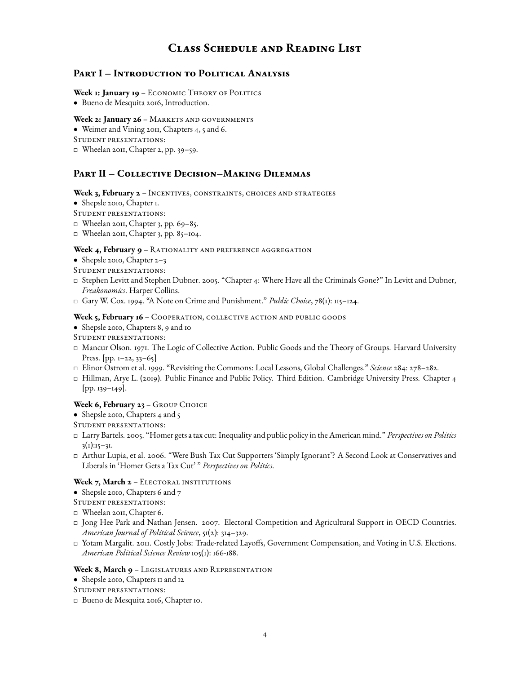# **Class Schedule and Reading List**

# **Part I – Introduction to Political Analysis**

Week **1: January 19** - ECONOMIC THEORY OF POLITICS

• Bueno de Mesquita 2016, Introduction.

#### Week 2: January 26 - MARKETS AND GOVERNMENTS

- Weimer and Vining 2011, Chapters 4, 5 and 6.
- Student presentations:
- Wheelan 2011, Chapter 2, pp. 39–59.

# **Part II – Collective Decision–Making Dilemmas**

#### Week 3, February 2 - Incentives, constraints, choices and strategies

- Shepsle 2010, Chapter 1.
- Student presentations:
- Wheelan 2011, Chapter 3, pp. 69–85.
- Wheelan 2011, Chapter 3, pp. 85–104.

#### Week 4, February 9 - RATIONALITY AND PREFERENCE AGGREGATION

- Shepsle 2010, Chapter 2-3
- Student presentations:
- Stephen Levitt and Stephen Dubner. 2005. "Chapter 4: Where Have all the Criminals Gone?" In Levitt and Dubner, *Freakonomics*. Harper Collins.
- Gary W. Cox. 1994. "A Note on Crime and Punishment." *Public Choice*, 78(1): 115–124.

#### Week 5, February 16 - COOPERATION, COLLECTIVE ACTION AND PUBLIC GOODS

- Shepsle 2010, Chapters 8, 9 and 10
- Student presentations:
- Mancur Olson. 1971. The Logic of Collective Action. Public Goods and the Theory of Groups. Harvard University Press. [pp.  $1-22$ ,  $33-65$ ]
- Elinor Ostrom et al. 1999. "Revisiting the Commons: Local Lessons, Global Challenges." *Science* 284: 278–282.
- Hillman, Arye L. (2019). Public Finance and Public Policy. Third Edition. Cambridge University Press. Chapter 4 [pp. 139–149].

#### Week 6, February 23 - GROUP CHOICE

- Shepsle 2010, Chapters 4 and 5
- Student presentations:
- Larry Bartels. 2005. "Homer gets a tax cut: Inequality and public policy in the American mind." *Perspectives on Politics*  $3(1):15-31.$
- Arthur Lupia, et al. 2006. "Were Bush Tax Cut Supporters 'Simply Ignorant'? A Second Look at Conservatives and Liberals in 'Homer Gets a Tax Cut' " *Perspectives on Politics*.

#### Week 7, March 2 - ELECTORAL INSTITUTIONS

- Shepsle 2010, Chapters 6 and 7
- Student presentations:
- Wheelan 2011, Chapter 6.
- Jong Hee Park and Nathan Jensen. 2007. Electoral Competition and Agricultural Support in OECD Countries. *American Journal of Political Science*, 51(2): 314–329.
- $\Box$  Yotam Margalit. 2011. Costly Jobs: Trade-related Layoffs, Government Compensation, and Voting in U.S. Elections. *American Political Science Review* 105(1): 166-188.

#### Week 8, March 9 - LEGISLATURES AND REPRESENTATION

- Shepsle 2010, Chapters 11 and 12
- Student presentations:
- Bueno de Mesquita 2016, Chapter 10.